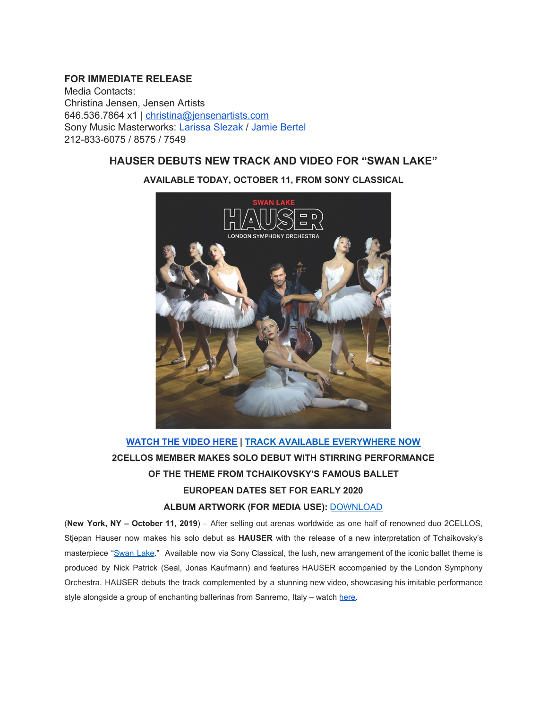## **FOR IMMEDIATE RELEASE**

Media Contacts: Christina Jensen, Jensen Artists 646.536.7864 x1 | [christina@jensenartists.com](mailto:christina@jensenartists.com) Sony Music Masterworks: Larissa Slezak / Jamie Bertel 212-833-6075 / 8575 / 7549

## **HAUSER DEBUTS NEW TRACK AND VIDEO FOR "SWAN LAKE"**



## **AVAILABLE TODAY, OCTOBER 11, FROM SONY CLASSICAL**

# **[WATCH](https://u7061146.ct.sendgrid.net/wf/click?upn=G62jSYfZdO-2F12d8lSllQB8Py45Kv8f-2BYRfyH7N0ZolPeFzbRFlh1JVZh1G75X4-2F7B96GflT10OtPzWrkEyI59w-3D-3D_DruDjhchMBr5xQkz3h1qcOnjZc-2BCsAVhraQ7DxYhbA2-2BHLQf-2BHKWaWi2FTM7QHo-2Fd7eCMDRMAhfd2mcWSs-2FpzNW9MmuPwV7rH-2FbDd7DdSSYlcS9Dl1FO4R31iHqhK3XU-2BnI3gXCp19b3K-2Fuq1AO0hmaB9-2BNhGq41-2B9v0BmDRv-2BldPwOT1WVbDS4B1FGqI6gSAyuQ2A-2FgWb7G4fXcmf-2FExF38O7h-2FZMXwTNGw4MTxaWV2xay3OgbV2uldHoZEuhUb7t83bBXwiiSUc2l6U1Asz-2BmWFf78g3JOwlLUWpfVNK6CdoNOAqRKrewWbNKImWnfdG1e-2B6DVmsOyYfboohbluKp42ymxJUHq9y4EVYlCohE-3D) THE VIDEO HERE | TRACK AVAILABLE [EVERYWHERE](https://u7061146.ct.sendgrid.net/wf/click?upn=VNRLcmHR1oQOeKvwyASp7JDXN6okN22xR3zo7gJHUnO2WLt6ez9eNvUNEeiaoEQ0_DruDjhchMBr5xQkz3h1qcOnjZc-2BCsAVhraQ7DxYhbA2-2BHLQf-2BHKWaWi2FTM7QHo-2Fd7eCMDRMAhfd2mcWSs-2FpzNW9MmuPwV7rH-2FbDd7DdSSYlcS9Dl1FO4R31iHqhK3XU-2BnI3gXCp19b3K-2Fuq1AO0hmaB9-2BNhGq41-2B9v0BmDRv-2BldPwOT1WVbDS4B1FGqI6gSAyuQ2A-2FgWb7G4fXcmf-2FExNjfIHL6k5yrzX84Iw0UVH-2FqR5LNrCr2Gf3J4YLeOQoDc9Rc12cQ6jMpy2gce0b0-2FcXg5EyDVxnE9gtXk-2BvGZoJfTLdfPKoT0VRPVos9geJ6AvGGmjPeHBCxYjLFW6zcVS0p7fw49eLgeShqQo-2BSz3I-3D) NOW 2CELLOS MEMBER MAKES SOLO DEBUT WITH STIRRING PERFORMANCE OF THE THEME FROM TCHAIKOVSKY'S FAMOUS BALLET EUROPEAN DATES SET FOR EARLY 2020 ALBUM ARTWORK (FOR MEDIA USE):** [DOWNLOAD](https://u7061146.ct.sendgrid.net/wf/click?upn=G62jSYfZdO-2F12d8lSllQBx-2Bh45h4GP-2FyhzPcGB2KQIGbWLx-2F1xWLjhMHLb5zyzhBs71jbIoEutW4z4Ts6MHAig-3D-3D_DruDjhchMBr5xQkz3h1qcOnjZc-2BCsAVhraQ7DxYhbA2-2BHLQf-2BHKWaWi2FTM7QHo-2Fd7eCMDRMAhfd2mcWSs-2FpzNW9MmuPwV7rH-2FbDd7DdSSYlcS9Dl1FO4R31iHqhK3XU-2BnI3gXCp19b3K-2Fuq1AO0hmaB9-2BNhGq41-2B9v0BmDRv-2BldPwOT1WVbDS4B1FGqI6gSAyuQ2A-2FgWb7G4fXcmf-2FExDolBMJmDK1-2FozC7Nd0Grgccj2hIE2nXgk-2BLkPx3nwM-2BDt99dOST0VUceXJV6YrJZFQFzq-2BpYkT1L7OPR11KTpgxLAFUnc75C9KL13B14Q-2F3VMHVcsoRPPzPATcdwSDjO0yamsf8dcUvL0731MIksrE-3D)

(**New York, NY – October 11, 2019**) – After selling out arenas worldwide as one half of renowned duo 2CELLOS, Stjepan Hauser now makes his solo debut as **HAUSER** with the release of a new interpretation of Tchaikovsky's masterpiece "[Swan](https://u7061146.ct.sendgrid.net/wf/click?upn=VNRLcmHR1oQOeKvwyASp7JDXN6okN22xR3zo7gJHUnO2WLt6ez9eNvUNEeiaoEQ0_DruDjhchMBr5xQkz3h1qcOnjZc-2BCsAVhraQ7DxYhbA2-2BHLQf-2BHKWaWi2FTM7QHo-2Fd7eCMDRMAhfd2mcWSs-2FpzNW9MmuPwV7rH-2FbDd7DdSSYlcS9Dl1FO4R31iHqhK3XU-2BnI3gXCp19b3K-2Fuq1AO0hmaB9-2BNhGq41-2B9v0BmDRv-2BldPwOT1WVbDS4B1FGqI6gSAyuQ2A-2FgWb7G4fXcmf-2FExCVO6u-2BsyZIWJIHG2gZA-2FnVeZVkeXNYdxgv72PO41tte495Y3u77yw2dYgI-2FyDEA-2FYuSBqoDZtgnPz6tXYrCaPSpK6-2FBFJrkHgA3hY2QPicN2lv8LcBOBaj1qfaeq3PtZ1kGO85Kn0HpdWVlSzBqMsw-3D) Lake." Available now via Sony Classical, the lush, new arrangement of the iconic ballet theme is produced by Nick Patrick (Seal, Jonas Kaufmann) and features HAUSER accompanied by the London Symphony Orchestra. HAUSER debuts the track complemented by a stunning new video, showcasing his imitable performance style alongside a group of enchanting ballerinas from Sanremo, Italy – watch [here.](https://u7061146.ct.sendgrid.net/wf/click?upn=G62jSYfZdO-2F12d8lSllQB8Py45Kv8f-2BYRfyH7N0ZolPeFzbRFlh1JVZh1G75X4-2F7B96GflT10OtPzWrkEyI59w-3D-3D_DruDjhchMBr5xQkz3h1qcOnjZc-2BCsAVhraQ7DxYhbA2-2BHLQf-2BHKWaWi2FTM7QHo-2Fd7eCMDRMAhfd2mcWSs-2FpzNW9MmuPwV7rH-2FbDd7DdSSYlcS9Dl1FO4R31iHqhK3XU-2BnI3gXCp19b3K-2Fuq1AO0hmaB9-2BNhGq41-2B9v0BmDRv-2BldPwOT1WVbDS4B1FGqI6gSAyuQ2A-2FgWb7G4fXcmf-2FExN5J3izi9SeS-2B-2BjoJ6NHkGIQZGQu9PTwibAEFTWmJjJNJ204jhAzPod8XadUzo6idztCMQbam9aBeI2-2FMbudoMyKPQU6w6fFV8ttdwLOUuuHlato6nQhY-2BshL9e-2BoFaufDDFtbvn1sxB8m2kKY5X3VA-3D)